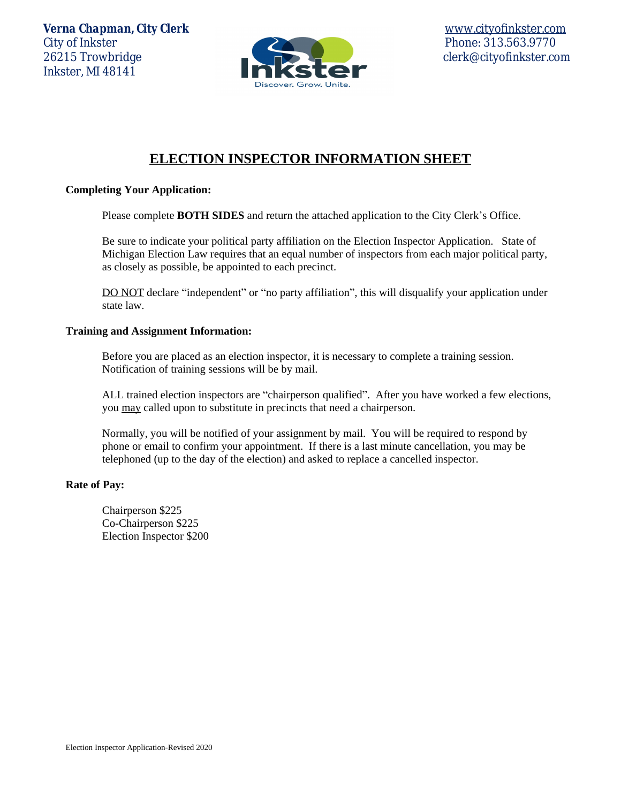*Verna Chapman, City Clerk* [www.cityofinkster.com](http://www.cityofinkster.com) City of Inkster Phone: 313.563.9770 26215 Trowbridge clerk@cityofinkster.com Inkster, MI 48141



# **ELECTION INSPECTOR INFORMATION SHEET**

# **Completing Your Application:**

Please complete **BOTH SIDES** and return the attached application to the City Clerk's Office.

Be sure to indicate your political party affiliation on the Election Inspector Application. State of Michigan Election Law requires that an equal number of inspectors from each major political party, as closely as possible, be appointed to each precinct.

DO NOT declare "independent" or "no party affiliation", this will disqualify your application under state law.

#### **Training and Assignment Information:**

Before you are placed as an election inspector, it is necessary to complete a training session. Notification of training sessions will be by mail.

ALL trained election inspectors are "chairperson qualified". After you have worked a few elections, you may called upon to substitute in precincts that need a chairperson.

Normally, you will be notified of your assignment by mail. You will be required to respond by phone or email to confirm your appointment. If there is a last minute cancellation, you may be telephoned (up to the day of the election) and asked to replace a cancelled inspector.

#### **Rate of Pay:**

Chairperson \$225 Co-Chairperson \$225 Election Inspector \$200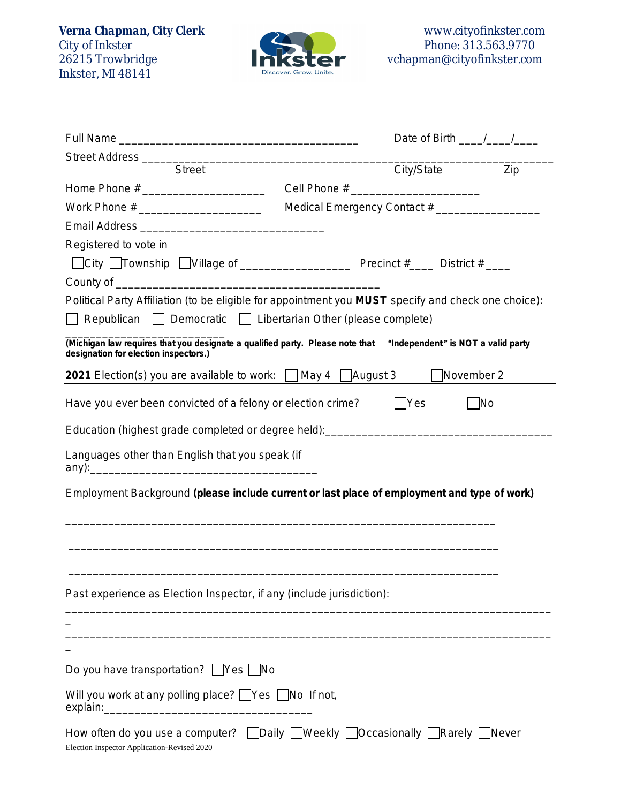Instruction<br>City of Inkster<br>26215 Trowbridge<br>Inkster, MI 48141



|                                                                                                                                                                                       |                                              | Date of Birth $\frac{1}{\sqrt{1-\frac{1}{2}}}$ |  |  |
|---------------------------------------------------------------------------------------------------------------------------------------------------------------------------------------|----------------------------------------------|------------------------------------------------|--|--|
|                                                                                                                                                                                       |                                              |                                                |  |  |
| <b>Street</b>                                                                                                                                                                         | City/State                                   | <b>Example</b> 2ip                             |  |  |
|                                                                                                                                                                                       |                                              |                                                |  |  |
|                                                                                                                                                                                       | Medical Emergency Contact # ________________ |                                                |  |  |
|                                                                                                                                                                                       |                                              |                                                |  |  |
| Registered to vote in                                                                                                                                                                 |                                              |                                                |  |  |
|                                                                                                                                                                                       |                                              |                                                |  |  |
|                                                                                                                                                                                       |                                              |                                                |  |  |
| Political Party Affiliation (to be eligible for appointment you MUST specify and check one choice):<br>$\Box$ Republican $\Box$ Democratic $\Box$ Libertarian Other (please complete) |                                              |                                                |  |  |
| (Michigan law requires that you designate a qualified party. Please note that "Independent" is NOT a valid party<br>designation for election inspectors.)                             |                                              |                                                |  |  |
| 2021 Election(s) you are available to work: □ May 4 □ August 3                                                                                                                        |                                              | November 2                                     |  |  |
| Have you ever been convicted of a felony or election crime?                                                                                                                           | Yes                                          | <b>No</b>                                      |  |  |
| Education (highest grade completed or degree held): ____________________________                                                                                                      |                                              |                                                |  |  |
| Languages other than English that you speak (if                                                                                                                                       |                                              |                                                |  |  |
| Employment Background (please include current or last place of employment and type of work)                                                                                           |                                              |                                                |  |  |
|                                                                                                                                                                                       |                                              |                                                |  |  |
|                                                                                                                                                                                       |                                              |                                                |  |  |
| Past experience as Election Inspector, if any (include jurisdiction):                                                                                                                 |                                              |                                                |  |  |
|                                                                                                                                                                                       |                                              |                                                |  |  |
| Do you have transportation? Yes No                                                                                                                                                    |                                              |                                                |  |  |
|                                                                                                                                                                                       |                                              |                                                |  |  |
| Will you work at any polling place? Ves No If not,                                                                                                                                    |                                              |                                                |  |  |
| How often do you use a computer? Daily DWeekly DOccasionally DRarely DNever<br>Election Inspector Application-Revised 2020                                                            |                                              |                                                |  |  |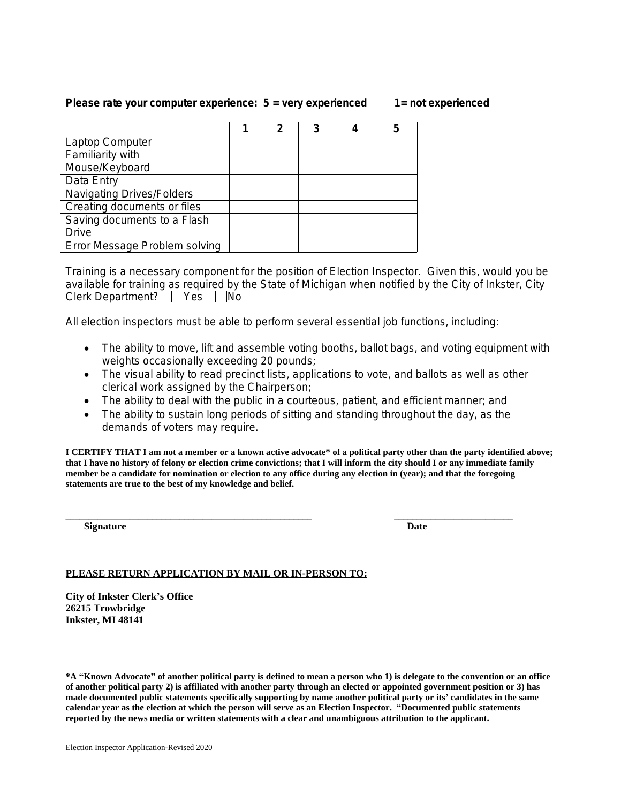# **Please rate your computer experience: 5 = very experienced 1= not experienced**

|                                  | 2 |  | 5 |
|----------------------------------|---|--|---|
| Laptop Computer                  |   |  |   |
| Familiarity with                 |   |  |   |
| Mouse/Keyboard                   |   |  |   |
| Data Entry                       |   |  |   |
| <b>Navigating Drives/Folders</b> |   |  |   |
| Creating documents or files      |   |  |   |
| Saving documents to a Flash      |   |  |   |
| Drive                            |   |  |   |
| Error Message Problem solving    |   |  |   |

Training is a necessary component for the position of Election Inspector. Given this, would you be available for training as required by the State of Michigan when notified by the City of Inkster, City Clerk Department? Yes No

All election inspectors must be able to perform several essential job functions, including:

- The ability to move, lift and assemble voting booths, ballot bags, and voting equipment with weights occasionally exceeding 20 pounds;
- The visual ability to read precinct lists, applications to vote, and ballots as well as other clerical work assigned by the Chairperson;
- The ability to deal with the public in a courteous, patient, and efficient manner; and
- The ability to sustain long periods of sitting and standing throughout the day, as the demands of voters may require.

**I CERTIFY THAT I am not a member or a known active advocate\* of a political party other than the party identified above; that I have no history of felony or election crime convictions; that I will inform the city should I or any immediate family member be a candidate for nomination or election to any office during any election in (year); and that the foregoing statements are true to the best of my knowledge and belief.** 

**Signature** Date Date Date

**\_\_\_\_\_\_\_\_\_\_\_\_\_\_\_\_\_\_\_\_\_\_\_\_\_\_\_\_\_\_\_\_\_\_\_\_\_\_\_\_\_\_\_\_\_\_\_\_\_\_\_\_\_\_ \_\_\_\_\_\_\_\_\_\_\_\_\_\_\_\_\_\_\_\_\_\_\_\_\_\_**

# **PLEASE RETURN APPLICATION BY MAIL OR IN-PERSON TO:**

**City of Inkster Clerk's Office 26215 Trowbridge Inkster, MI 48141**

**\*A "Known Advocate" of another political party is defined to mean a person who 1) is delegate to the convention or an office of another political party 2) is affiliated with another party through an elected or appointed government position or 3) has made documented public statements specifically supporting by name another political party or its' candidates in the same calendar year as the election at which the person will serve as an Election Inspector. "Documented public statements reported by the news media or written statements with a clear and unambiguous attribution to the applicant.**